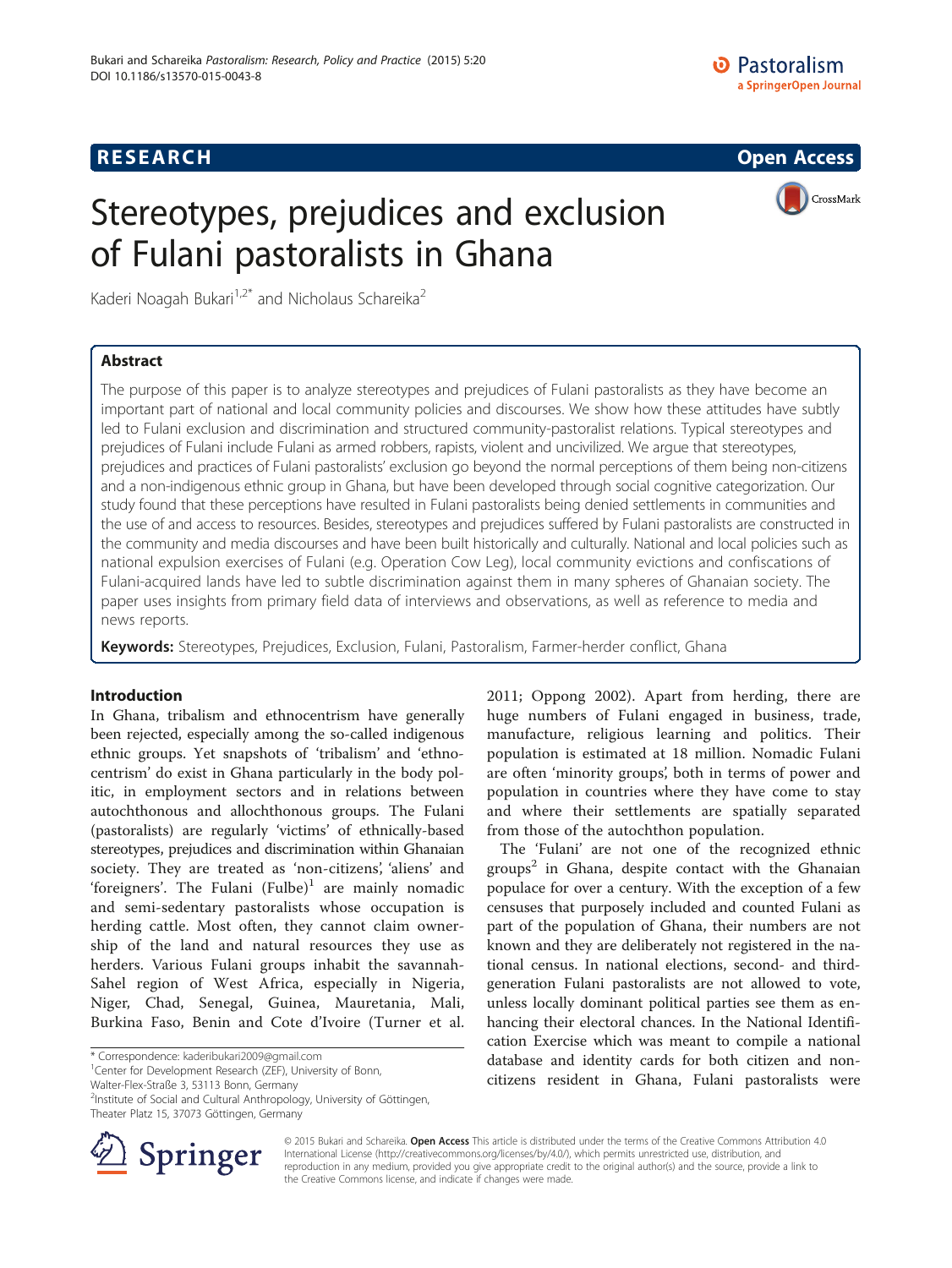# **RESEARCH RESEARCH CONSUMING ACCESS**





# Stereotypes, prejudices and exclusion of Fulani pastoralists in Ghana

Kaderi Noagah Bukari<sup>1,2\*</sup> and Nicholaus Schareika<sup>2</sup>

# Abstract

The purpose of this paper is to analyze stereotypes and prejudices of Fulani pastoralists as they have become an important part of national and local community policies and discourses. We show how these attitudes have subtly led to Fulani exclusion and discrimination and structured community-pastoralist relations. Typical stereotypes and prejudices of Fulani include Fulani as armed robbers, rapists, violent and uncivilized. We argue that stereotypes, prejudices and practices of Fulani pastoralists' exclusion go beyond the normal perceptions of them being non-citizens and a non-indigenous ethnic group in Ghana, but have been developed through social cognitive categorization. Our study found that these perceptions have resulted in Fulani pastoralists being denied settlements in communities and the use of and access to resources. Besides, stereotypes and prejudices suffered by Fulani pastoralists are constructed in the community and media discourses and have been built historically and culturally. National and local policies such as national expulsion exercises of Fulani (e.g. Operation Cow Leg), local community evictions and confiscations of Fulani-acquired lands have led to subtle discrimination against them in many spheres of Ghanaian society. The paper uses insights from primary field data of interviews and observations, as well as reference to media and news reports.

Keywords: Stereotypes, Prejudices, Exclusion, Fulani, Pastoralism, Farmer-herder conflict, Ghana

### Introduction

In Ghana, tribalism and ethnocentrism have generally been rejected, especially among the so-called indigenous ethnic groups. Yet snapshots of 'tribalism' and 'ethnocentrism' do exist in Ghana particularly in the body politic, in employment sectors and in relations between autochthonous and allochthonous groups. The Fulani (pastoralists) are regularly 'victims' of ethnically-based stereotypes, prejudices and discrimination within Ghanaian society. They are treated as 'non-citizens', 'aliens' and 'foreigners'. The Fulani  $(Fulbe)^{1}$  are mainly nomadic and semi-sedentary pastoralists whose occupation is herding cattle. Most often, they cannot claim ownership of the land and natural resources they use as herders. Various Fulani groups inhabit the savannah-Sahel region of West Africa, especially in Nigeria, Niger, Chad, Senegal, Guinea, Mauretania, Mali, Burkina Faso, Benin and Cote d'Ivoire (Turner et al.

Walter-Flex-Straße 3, 53113 Bonn, Germany

2 Institute of Social and Cultural Anthropology, University of Göttingen, Theater Platz 15, 37073 Göttingen, Germany

[2011;](#page-11-0) Oppong [2002](#page-11-0)). Apart from herding, there are huge numbers of Fulani engaged in business, trade, manufacture, religious learning and politics. Their population is estimated at 18 million. Nomadic Fulani are often 'minority groups', both in terms of power and population in countries where they have come to stay and where their settlements are spatially separated from those of the autochthon population.

The 'Fulani' are not one of the recognized ethnic groups<sup>2</sup> in Ghana, despite contact with the Ghanaian populace for over a century. With the exception of a few censuses that purposely included and counted Fulani as part of the population of Ghana, their numbers are not known and they are deliberately not registered in the national census. In national elections, second- and thirdgeneration Fulani pastoralists are not allowed to vote, unless locally dominant political parties see them as enhancing their electoral chances. In the National Identification Exercise which was meant to compile a national database and identity cards for both citizen and noncitizens resident in Ghana, Fulani pastoralists were



© 2015 Bukari and Schareika. Open Access This article is distributed under the terms of the Creative Commons Attribution 4.0 International License ([http://creativecommons.org/licenses/by/4.0/\)](http://creativecommons.org/licenses/by/4.0/), which permits unrestricted use, distribution, and reproduction in any medium, provided you give appropriate credit to the original author(s) and the source, provide a link to the Creative Commons license, and indicate if changes were made.

<sup>\*</sup> Correspondence: [kaderibukari2009@gmail.com](mailto:kaderibukari2009@gmail.com) <sup>1</sup>

<sup>&</sup>lt;sup>1</sup> Center for Development Research (ZEF), University of Bonn,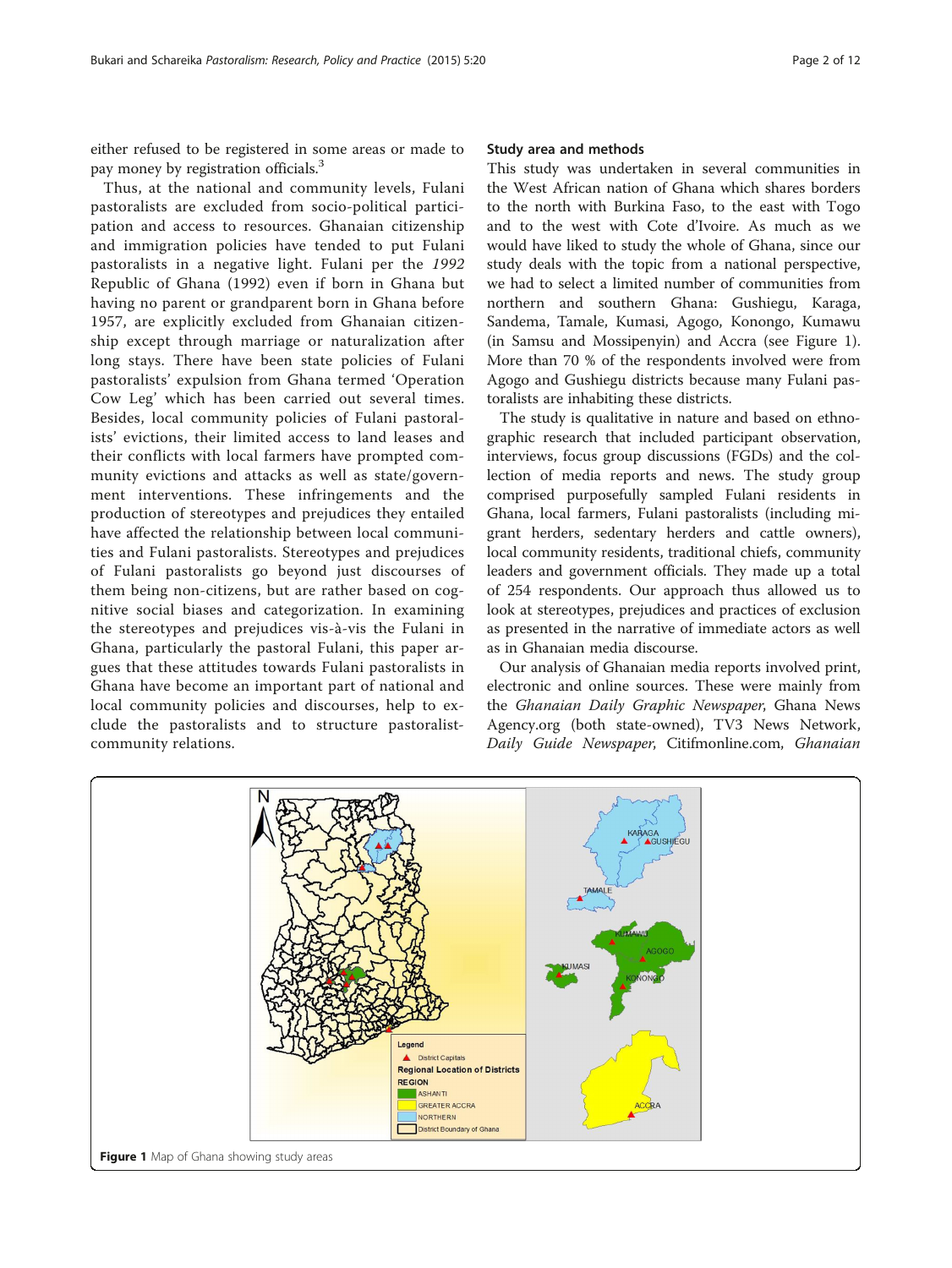either refused to be registered in some areas or made to pay money by registration officials.<sup>3</sup>

Thus, at the national and community levels, Fulani pastoralists are excluded from socio-political participation and access to resources. Ghanaian citizenship and immigration policies have tended to put Fulani pastoralists in a negative light. Fulani per the 1992 Republic of Ghana ([1992](#page-11-0)) even if born in Ghana but having no parent or grandparent born in Ghana before 1957, are explicitly excluded from Ghanaian citizenship except through marriage or naturalization after long stays. There have been state policies of Fulani pastoralists' expulsion from Ghana termed 'Operation Cow Leg' which has been carried out several times. Besides, local community policies of Fulani pastoralists' evictions, their limited access to land leases and their conflicts with local farmers have prompted community evictions and attacks as well as state/government interventions. These infringements and the production of stereotypes and prejudices they entailed have affected the relationship between local communities and Fulani pastoralists. Stereotypes and prejudices of Fulani pastoralists go beyond just discourses of them being non-citizens, but are rather based on cognitive social biases and categorization. In examining the stereotypes and prejudices vis-à-vis the Fulani in Ghana, particularly the pastoral Fulani, this paper argues that these attitudes towards Fulani pastoralists in Ghana have become an important part of national and local community policies and discourses, help to exclude the pastoralists and to structure pastoralistcommunity relations.

#### Study area and methods

This study was undertaken in several communities in the West African nation of Ghana which shares borders to the north with Burkina Faso, to the east with Togo and to the west with Cote d'Ivoire. As much as we would have liked to study the whole of Ghana, since our study deals with the topic from a national perspective, we had to select a limited number of communities from northern and southern Ghana: Gushiegu, Karaga, Sandema, Tamale, Kumasi, Agogo, Konongo, Kumawu (in Samsu and Mossipenyin) and Accra (see Figure 1). More than 70 % of the respondents involved were from Agogo and Gushiegu districts because many Fulani pastoralists are inhabiting these districts.

The study is qualitative in nature and based on ethnographic research that included participant observation, interviews, focus group discussions (FGDs) and the collection of media reports and news. The study group comprised purposefully sampled Fulani residents in Ghana, local farmers, Fulani pastoralists (including migrant herders, sedentary herders and cattle owners), local community residents, traditional chiefs, community leaders and government officials. They made up a total of 254 respondents. Our approach thus allowed us to look at stereotypes, prejudices and practices of exclusion as presented in the narrative of immediate actors as well as in Ghanaian media discourse.

Our analysis of Ghanaian media reports involved print, electronic and online sources. These were mainly from the Ghanaian Daily Graphic Newspaper, Ghana News Agency.org (both state-owned), TV3 News Network, Daily Guide Newspaper, Citifmonline.com, Ghanaian

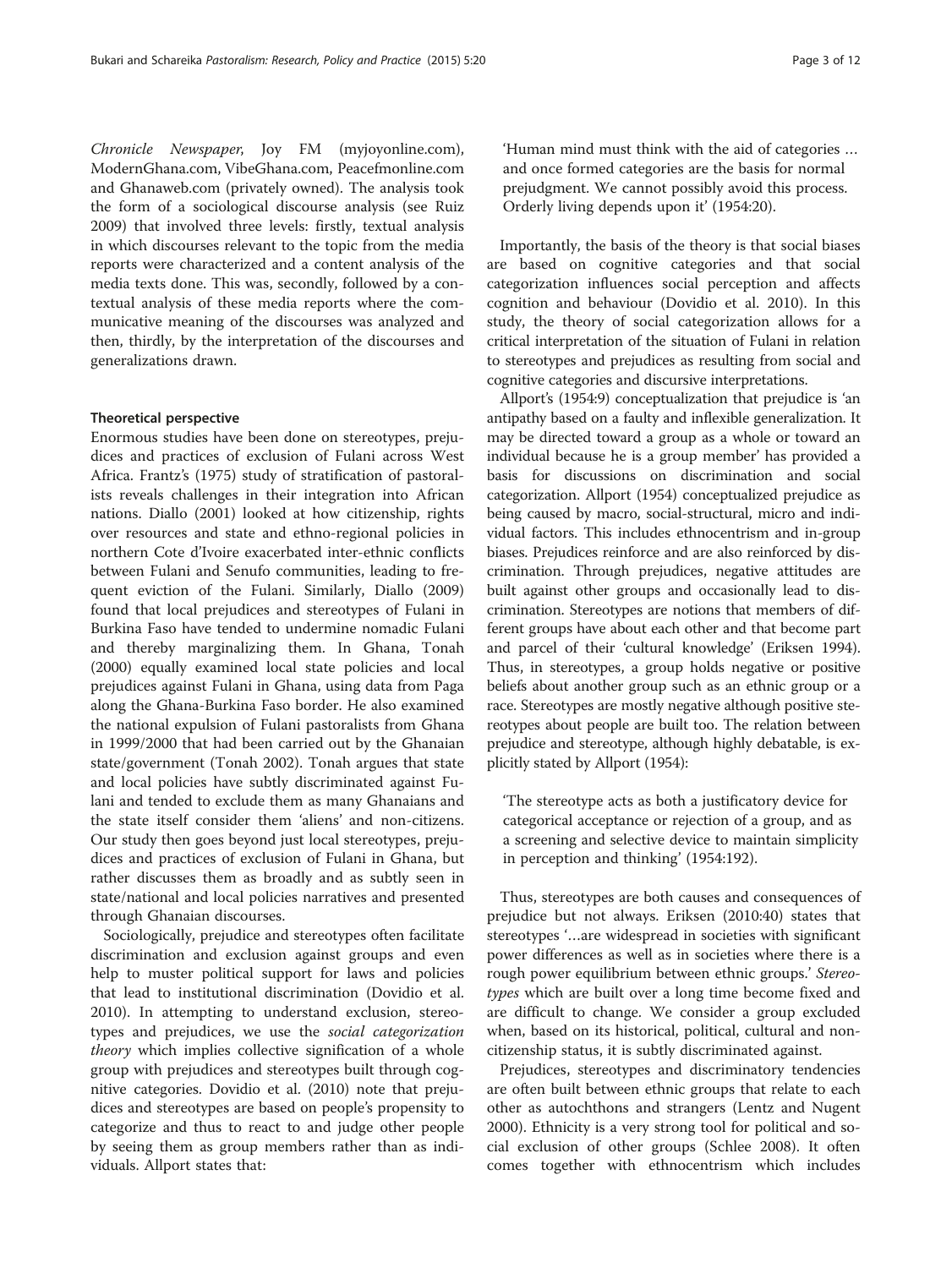Chronicle Newspaper, Joy FM (myjoyonline.com), ModernGhana.com, VibeGhana.com, Peacefmonline.com and Ghanaweb.com (privately owned). The analysis took the form of a sociological discourse analysis (see Ruiz [2009](#page-11-0)) that involved three levels: firstly, textual analysis in which discourses relevant to the topic from the media reports were characterized and a content analysis of the media texts done. This was, secondly, followed by a contextual analysis of these media reports where the communicative meaning of the discourses was analyzed and then, thirdly, by the interpretation of the discourses and generalizations drawn.

#### Theoretical perspective

Enormous studies have been done on stereotypes, prejudices and practices of exclusion of Fulani across West Africa. Frantz's [\(1975\)](#page-10-0) study of stratification of pastoralists reveals challenges in their integration into African nations. Diallo ([2001\)](#page-10-0) looked at how citizenship, rights over resources and state and ethno-regional policies in northern Cote d'Ivoire exacerbated inter-ethnic conflicts between Fulani and Senufo communities, leading to frequent eviction of the Fulani. Similarly, Diallo ([2009](#page-10-0)) found that local prejudices and stereotypes of Fulani in Burkina Faso have tended to undermine nomadic Fulani and thereby marginalizing them. In Ghana, Tonah ([2000](#page-11-0)) equally examined local state policies and local prejudices against Fulani in Ghana, using data from Paga along the Ghana-Burkina Faso border. He also examined the national expulsion of Fulani pastoralists from Ghana in 1999/2000 that had been carried out by the Ghanaian state/government (Tonah [2002](#page-11-0)). Tonah argues that state and local policies have subtly discriminated against Fulani and tended to exclude them as many Ghanaians and the state itself consider them 'aliens' and non-citizens. Our study then goes beyond just local stereotypes, prejudices and practices of exclusion of Fulani in Ghana, but rather discusses them as broadly and as subtly seen in state/national and local policies narratives and presented through Ghanaian discourses.

Sociologically, prejudice and stereotypes often facilitate discrimination and exclusion against groups and even help to muster political support for laws and policies that lead to institutional discrimination (Dovidio et al. [2010](#page-10-0)). In attempting to understand exclusion, stereotypes and prejudices, we use the social categorization theory which implies collective signification of a whole group with prejudices and stereotypes built through cognitive categories. Dovidio et al. ([2010\)](#page-10-0) note that prejudices and stereotypes are based on people's propensity to categorize and thus to react to and judge other people by seeing them as group members rather than as individuals. Allport states that:

'Human mind must think with the aid of categories … and once formed categories are the basis for normal prejudgment. We cannot possibly avoid this process. Orderly living depends upon it' (1954:20).

Importantly, the basis of the theory is that social biases are based on cognitive categories and that social categorization influences social perception and affects cognition and behaviour (Dovidio et al. [2010\)](#page-10-0). In this study, the theory of social categorization allows for a critical interpretation of the situation of Fulani in relation to stereotypes and prejudices as resulting from social and cognitive categories and discursive interpretations.

Allport's ([1954:](#page-10-0)9) conceptualization that prejudice is 'an antipathy based on a faulty and inflexible generalization. It may be directed toward a group as a whole or toward an individual because he is a group member' has provided a basis for discussions on discrimination and social categorization. Allport [\(1954\)](#page-10-0) conceptualized prejudice as being caused by macro, social-structural, micro and individual factors. This includes ethnocentrism and in-group biases. Prejudices reinforce and are also reinforced by discrimination. Through prejudices, negative attitudes are built against other groups and occasionally lead to discrimination. Stereotypes are notions that members of different groups have about each other and that become part and parcel of their 'cultural knowledge' (Eriksen [1994](#page-10-0)). Thus, in stereotypes, a group holds negative or positive beliefs about another group such as an ethnic group or a race. Stereotypes are mostly negative although positive stereotypes about people are built too. The relation between prejudice and stereotype, although highly debatable, is explicitly stated by Allport [\(1954\)](#page-10-0):

'The stereotype acts as both a justificatory device for categorical acceptance or rejection of a group, and as a screening and selective device to maintain simplicity in perception and thinking' (1954:192).

Thus, stereotypes are both causes and consequences of prejudice but not always. Eriksen ([2010](#page-10-0):40) states that stereotypes '…are widespread in societies with significant power differences as well as in societies where there is a rough power equilibrium between ethnic groups.' Stereotypes which are built over a long time become fixed and are difficult to change. We consider a group excluded when, based on its historical, political, cultural and noncitizenship status, it is subtly discriminated against.

Prejudices, stereotypes and discriminatory tendencies are often built between ethnic groups that relate to each other as autochthons and strangers (Lentz and Nugent [2000](#page-11-0)). Ethnicity is a very strong tool for political and social exclusion of other groups (Schlee [2008](#page-11-0)). It often comes together with ethnocentrism which includes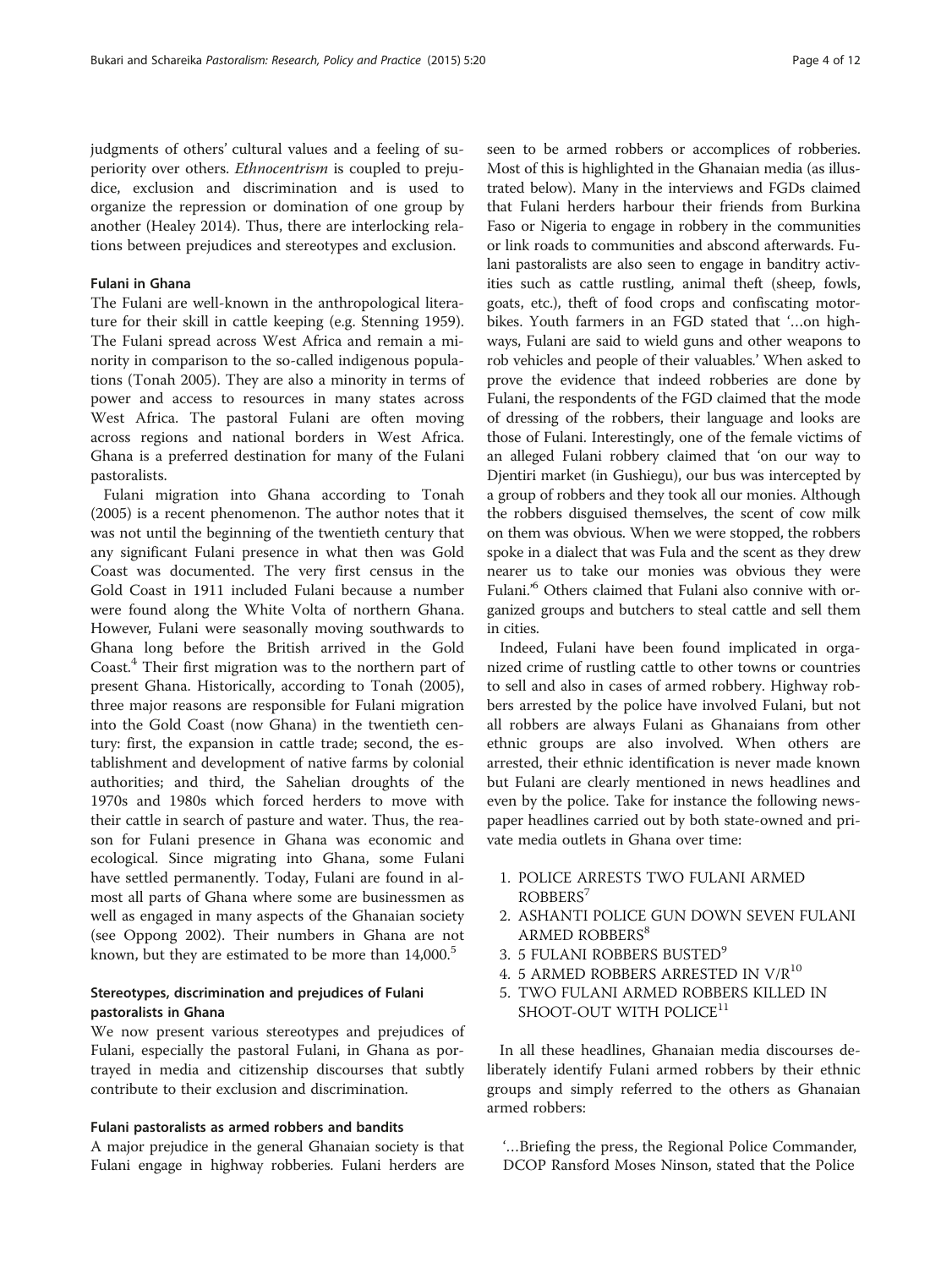judgments of others' cultural values and a feeling of superiority over others. Ethnocentrism is coupled to prejudice, exclusion and discrimination and is used to organize the repression or domination of one group by another (Healey [2014](#page-10-0)). Thus, there are interlocking relations between prejudices and stereotypes and exclusion.

#### Fulani in Ghana

The Fulani are well-known in the anthropological literature for their skill in cattle keeping (e.g. Stenning [1959](#page-11-0)). The Fulani spread across West Africa and remain a minority in comparison to the so-called indigenous populations (Tonah [2005\)](#page-11-0). They are also a minority in terms of power and access to resources in many states across West Africa. The pastoral Fulani are often moving across regions and national borders in West Africa. Ghana is a preferred destination for many of the Fulani pastoralists.

Fulani migration into Ghana according to Tonah ([2005](#page-11-0)) is a recent phenomenon. The author notes that it was not until the beginning of the twentieth century that any significant Fulani presence in what then was Gold Coast was documented. The very first census in the Gold Coast in 1911 included Fulani because a number were found along the White Volta of northern Ghana. However, Fulani were seasonally moving southwards to Ghana long before the British arrived in the Gold Coast.<sup>4</sup> Their first migration was to the northern part of present Ghana. Historically, according to Tonah ([2005](#page-11-0)), three major reasons are responsible for Fulani migration into the Gold Coast (now Ghana) in the twentieth century: first, the expansion in cattle trade; second, the establishment and development of native farms by colonial authorities; and third, the Sahelian droughts of the 1970s and 1980s which forced herders to move with their cattle in search of pasture and water. Thus, the reason for Fulani presence in Ghana was economic and ecological. Since migrating into Ghana, some Fulani have settled permanently. Today, Fulani are found in almost all parts of Ghana where some are businessmen as well as engaged in many aspects of the Ghanaian society (see Oppong [2002\)](#page-11-0). Their numbers in Ghana are not known, but they are estimated to be more than  $14,000$ .<sup>5</sup>

#### Stereotypes, discrimination and prejudices of Fulani pastoralists in Ghana

We now present various stereotypes and prejudices of Fulani, especially the pastoral Fulani, in Ghana as portrayed in media and citizenship discourses that subtly contribute to their exclusion and discrimination.

#### Fulani pastoralists as armed robbers and bandits

A major prejudice in the general Ghanaian society is that Fulani engage in highway robberies. Fulani herders are

seen to be armed robbers or accomplices of robberies. Most of this is highlighted in the Ghanaian media (as illustrated below). Many in the interviews and FGDs claimed that Fulani herders harbour their friends from Burkina Faso or Nigeria to engage in robbery in the communities or link roads to communities and abscond afterwards. Fulani pastoralists are also seen to engage in banditry activities such as cattle rustling, animal theft (sheep, fowls, goats, etc.), theft of food crops and confiscating motorbikes. Youth farmers in an FGD stated that '…on highways, Fulani are said to wield guns and other weapons to rob vehicles and people of their valuables.' When asked to prove the evidence that indeed robberies are done by Fulani, the respondents of the FGD claimed that the mode of dressing of the robbers, their language and looks are those of Fulani. Interestingly, one of the female victims of an alleged Fulani robbery claimed that 'on our way to Djentiri market (in Gushiegu), our bus was intercepted by a group of robbers and they took all our monies. Although the robbers disguised themselves, the scent of cow milk on them was obvious. When we were stopped, the robbers spoke in a dialect that was Fula and the scent as they drew nearer us to take our monies was obvious they were Fulani.' <sup>6</sup> Others claimed that Fulani also connive with organized groups and butchers to steal cattle and sell them in cities.

Indeed, Fulani have been found implicated in organized crime of rustling cattle to other towns or countries to sell and also in cases of armed robbery. Highway robbers arrested by the police have involved Fulani, but not all robbers are always Fulani as Ghanaians from other ethnic groups are also involved. When others are arrested, their ethnic identification is never made known but Fulani are clearly mentioned in news headlines and even by the police. Take for instance the following newspaper headlines carried out by both state-owned and private media outlets in Ghana over time:

### 1. POLICE ARRESTS TWO FULANI ARMED ROBBERS<sup>7</sup>

- 2. ASHANTI POLICE GUN DOWN SEVEN FULANI ARMED ROBBERS<sup>8</sup>
- 3. 5 FULANI ROBBERS BUSTED<sup>9</sup>
- 4. 5 ARMED ROBBERS ARRESTED IN V/R<sup>10</sup>
- 5. TWO FULANI ARMED ROBBERS KILLED IN SHOOT-OUT WITH POLICE<sup>11</sup>

In all these headlines, Ghanaian media discourses deliberately identify Fulani armed robbers by their ethnic groups and simply referred to the others as Ghanaian armed robbers:

'…Briefing the press, the Regional Police Commander, DCOP Ransford Moses Ninson, stated that the Police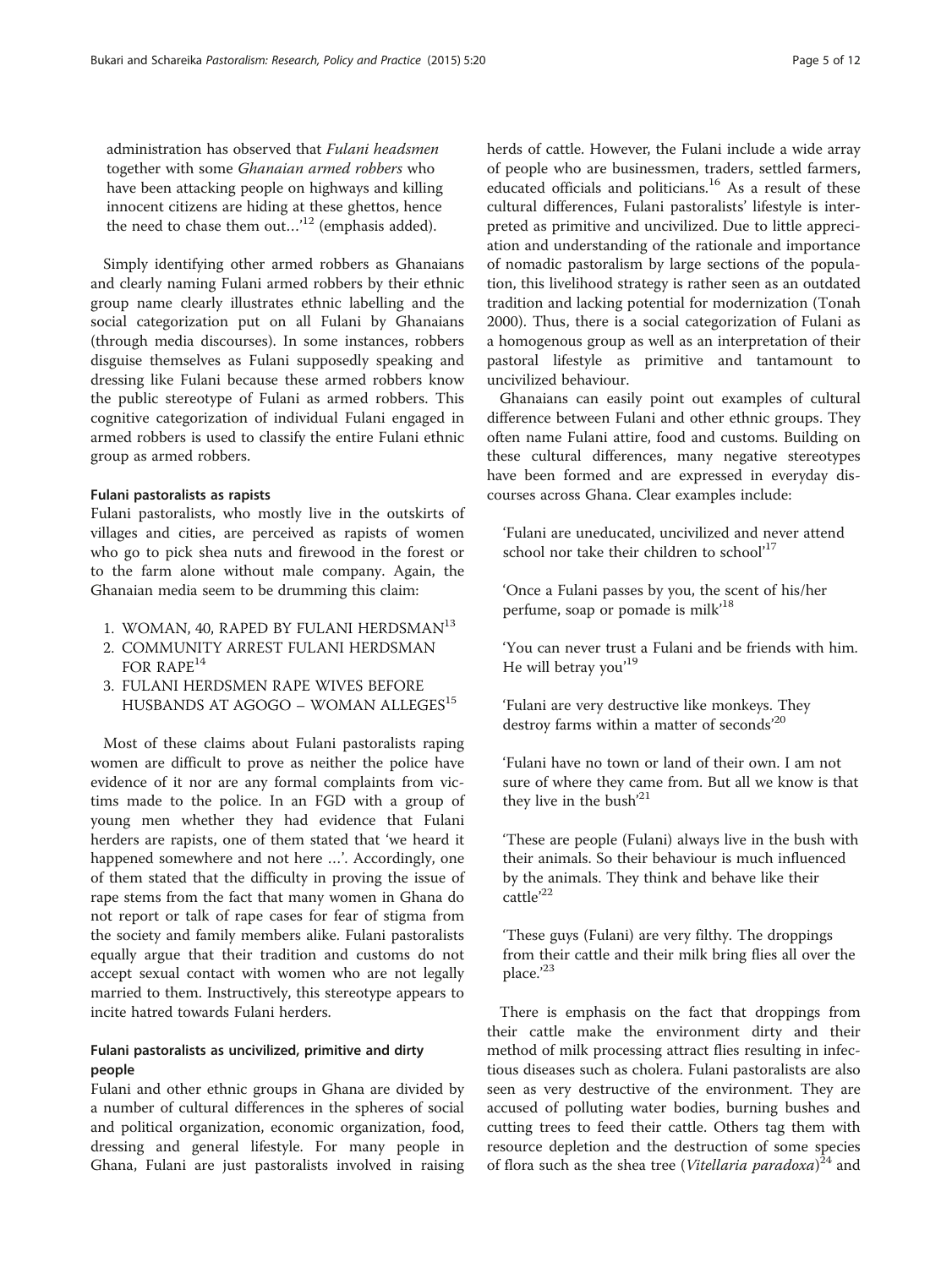administration has observed that Fulani headsmen together with some Ghanaian armed robbers who have been attacking people on highways and killing innocent citizens are hiding at these ghettos, hence the need to chase them out…'<sup>12</sup> (emphasis added).

Simply identifying other armed robbers as Ghanaians and clearly naming Fulani armed robbers by their ethnic group name clearly illustrates ethnic labelling and the social categorization put on all Fulani by Ghanaians (through media discourses). In some instances, robbers disguise themselves as Fulani supposedly speaking and dressing like Fulani because these armed robbers know the public stereotype of Fulani as armed robbers. This cognitive categorization of individual Fulani engaged in armed robbers is used to classify the entire Fulani ethnic group as armed robbers.

#### Fulani pastoralists as rapists

Fulani pastoralists, who mostly live in the outskirts of villages and cities, are perceived as rapists of women who go to pick shea nuts and firewood in the forest or to the farm alone without male company. Again, the Ghanaian media seem to be drumming this claim:

- 1. WOMAN, 40, RAPED BY FULANI HERDSMAN<sup>13</sup>
- 2. COMMUNITY ARREST FULANI HERDSMAN FOR RAPE<sup>14</sup>
- 3. FULANI HERDSMEN RAPE WIVES BEFORE HUSBANDS AT AGOGO – WOMAN ALLEGES<sup>15</sup>

Most of these claims about Fulani pastoralists raping women are difficult to prove as neither the police have evidence of it nor are any formal complaints from victims made to the police. In an FGD with a group of young men whether they had evidence that Fulani herders are rapists, one of them stated that 'we heard it happened somewhere and not here ...'. Accordingly, one of them stated that the difficulty in proving the issue of rape stems from the fact that many women in Ghana do not report or talk of rape cases for fear of stigma from the society and family members alike. Fulani pastoralists equally argue that their tradition and customs do not accept sexual contact with women who are not legally married to them. Instructively, this stereotype appears to incite hatred towards Fulani herders.

#### Fulani pastoralists as uncivilized, primitive and dirty people

Fulani and other ethnic groups in Ghana are divided by a number of cultural differences in the spheres of social and political organization, economic organization, food, dressing and general lifestyle. For many people in Ghana, Fulani are just pastoralists involved in raising herds of cattle. However, the Fulani include a wide array of people who are businessmen, traders, settled farmers, educated officials and politicians.<sup>16</sup> As a result of these cultural differences, Fulani pastoralists' lifestyle is interpreted as primitive and uncivilized. Due to little appreciation and understanding of the rationale and importance of nomadic pastoralism by large sections of the population, this livelihood strategy is rather seen as an outdated tradition and lacking potential for modernization (Tonah [2000](#page-11-0)). Thus, there is a social categorization of Fulani as a homogenous group as well as an interpretation of their pastoral lifestyle as primitive and tantamount to uncivilized behaviour.

Ghanaians can easily point out examples of cultural difference between Fulani and other ethnic groups. They often name Fulani attire, food and customs. Building on these cultural differences, many negative stereotypes have been formed and are expressed in everyday discourses across Ghana. Clear examples include:

'Fulani are uneducated, uncivilized and never attend school nor take their children to school'<sup>17</sup>

'Once a Fulani passes by you, the scent of his/her perfume, soap or pomade is milk'<sup>18</sup>

'You can never trust a Fulani and be friends with him. He will betray you'<sup>19</sup>

'Fulani are very destructive like monkeys. They destroy farms within a matter of seconds' 20

'Fulani have no town or land of their own. I am not sure of where they came from. But all we know is that they live in the bush' 21

'These are people (Fulani) always live in the bush with their animals. So their behaviour is much influenced by the animals. They think and behave like their cattle' 22

'These guys (Fulani) are very filthy. The droppings from their cattle and their milk bring flies all over the place.' 23

There is emphasis on the fact that droppings from their cattle make the environment dirty and their method of milk processing attract flies resulting in infectious diseases such as cholera. Fulani pastoralists are also seen as very destructive of the environment. They are accused of polluting water bodies, burning bushes and cutting trees to feed their cattle. Others tag them with resource depletion and the destruction of some species of flora such as the shea tree (Vitellaria paradoxa)<sup>24</sup> and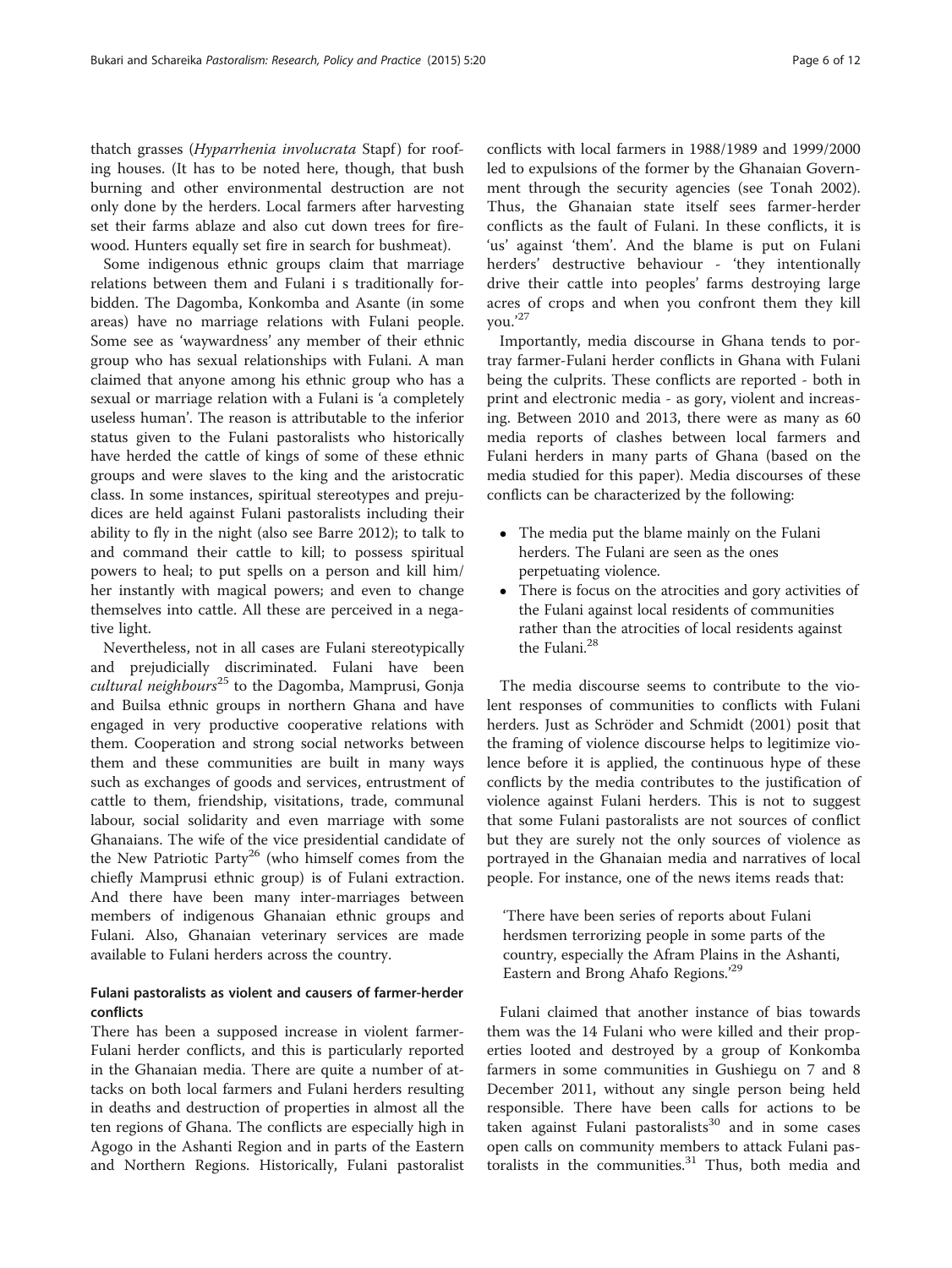thatch grasses (Hyparrhenia involucrata Stapf) for roofing houses. (It has to be noted here, though, that bush burning and other environmental destruction are not only done by the herders. Local farmers after harvesting set their farms ablaze and also cut down trees for firewood. Hunters equally set fire in search for bushmeat).

Some indigenous ethnic groups claim that marriage relations between them and Fulani i s traditionally forbidden. The Dagomba, Konkomba and Asante (in some areas) have no marriage relations with Fulani people. Some see as 'waywardness' any member of their ethnic group who has sexual relationships with Fulani. A man claimed that anyone among his ethnic group who has a sexual or marriage relation with a Fulani is 'a completely useless human'. The reason is attributable to the inferior status given to the Fulani pastoralists who historically have herded the cattle of kings of some of these ethnic groups and were slaves to the king and the aristocratic class. In some instances, spiritual stereotypes and prejudices are held against Fulani pastoralists including their ability to fly in the night (also see Barre [2012\)](#page-10-0); to talk to and command their cattle to kill; to possess spiritual powers to heal; to put spells on a person and kill him/ her instantly with magical powers; and even to change themselves into cattle. All these are perceived in a negative light.

Nevertheless, not in all cases are Fulani stereotypically and prejudicially discriminated. Fulani have been cultural neighbours<sup>25</sup> to the Dagomba, Mamprusi, Gonja and Builsa ethnic groups in northern Ghana and have engaged in very productive cooperative relations with them. Cooperation and strong social networks between them and these communities are built in many ways such as exchanges of goods and services, entrustment of cattle to them, friendship, visitations, trade, communal labour, social solidarity and even marriage with some Ghanaians. The wife of the vice presidential candidate of the New Patriotic Party<sup>26</sup> (who himself comes from the chiefly Mamprusi ethnic group) is of Fulani extraction. And there have been many inter-marriages between members of indigenous Ghanaian ethnic groups and Fulani. Also, Ghanaian veterinary services are made available to Fulani herders across the country.

#### Fulani pastoralists as violent and causers of farmer-herder conflicts

There has been a supposed increase in violent farmer-Fulani herder conflicts, and this is particularly reported in the Ghanaian media. There are quite a number of attacks on both local farmers and Fulani herders resulting in deaths and destruction of properties in almost all the ten regions of Ghana. The conflicts are especially high in Agogo in the Ashanti Region and in parts of the Eastern and Northern Regions. Historically, Fulani pastoralist

conflicts with local farmers in 1988/1989 and 1999/2000 led to expulsions of the former by the Ghanaian Government through the security agencies (see Tonah [2002](#page-11-0)). Thus, the Ghanaian state itself sees farmer-herder conflicts as the fault of Fulani. In these conflicts, it is 'us' against 'them'. And the blame is put on Fulani herders' destructive behaviour - 'they intentionally drive their cattle into peoples' farms destroying large acres of crops and when you confront them they kill you.' 27

Importantly, media discourse in Ghana tends to portray farmer-Fulani herder conflicts in Ghana with Fulani being the culprits. These conflicts are reported - both in print and electronic media - as gory, violent and increasing. Between 2010 and 2013, there were as many as 60 media reports of clashes between local farmers and Fulani herders in many parts of Ghana (based on the media studied for this paper). Media discourses of these conflicts can be characterized by the following:

- The media put the blame mainly on the Fulani herders. The Fulani are seen as the ones perpetuating violence.
- There is focus on the atrocities and gory activities of the Fulani against local residents of communities rather than the atrocities of local residents against the Fulani.28

The media discourse seems to contribute to the violent responses of communities to conflicts with Fulani herders. Just as Schröder and Schmidt [\(2001](#page-11-0)) posit that the framing of violence discourse helps to legitimize violence before it is applied, the continuous hype of these conflicts by the media contributes to the justification of violence against Fulani herders. This is not to suggest that some Fulani pastoralists are not sources of conflict but they are surely not the only sources of violence as portrayed in the Ghanaian media and narratives of local people. For instance, one of the news items reads that:

'There have been series of reports about Fulani herdsmen terrorizing people in some parts of the country, especially the Afram Plains in the Ashanti, Eastern and Brong Ahafo Regions.' 29

Fulani claimed that another instance of bias towards them was the 14 Fulani who were killed and their properties looted and destroyed by a group of Konkomba farmers in some communities in Gushiegu on 7 and 8 December 2011, without any single person being held responsible. There have been calls for actions to be taken against Fulani pastoralists<sup>30</sup> and in some cases open calls on community members to attack Fulani pastoralists in the communities. $31$  Thus, both media and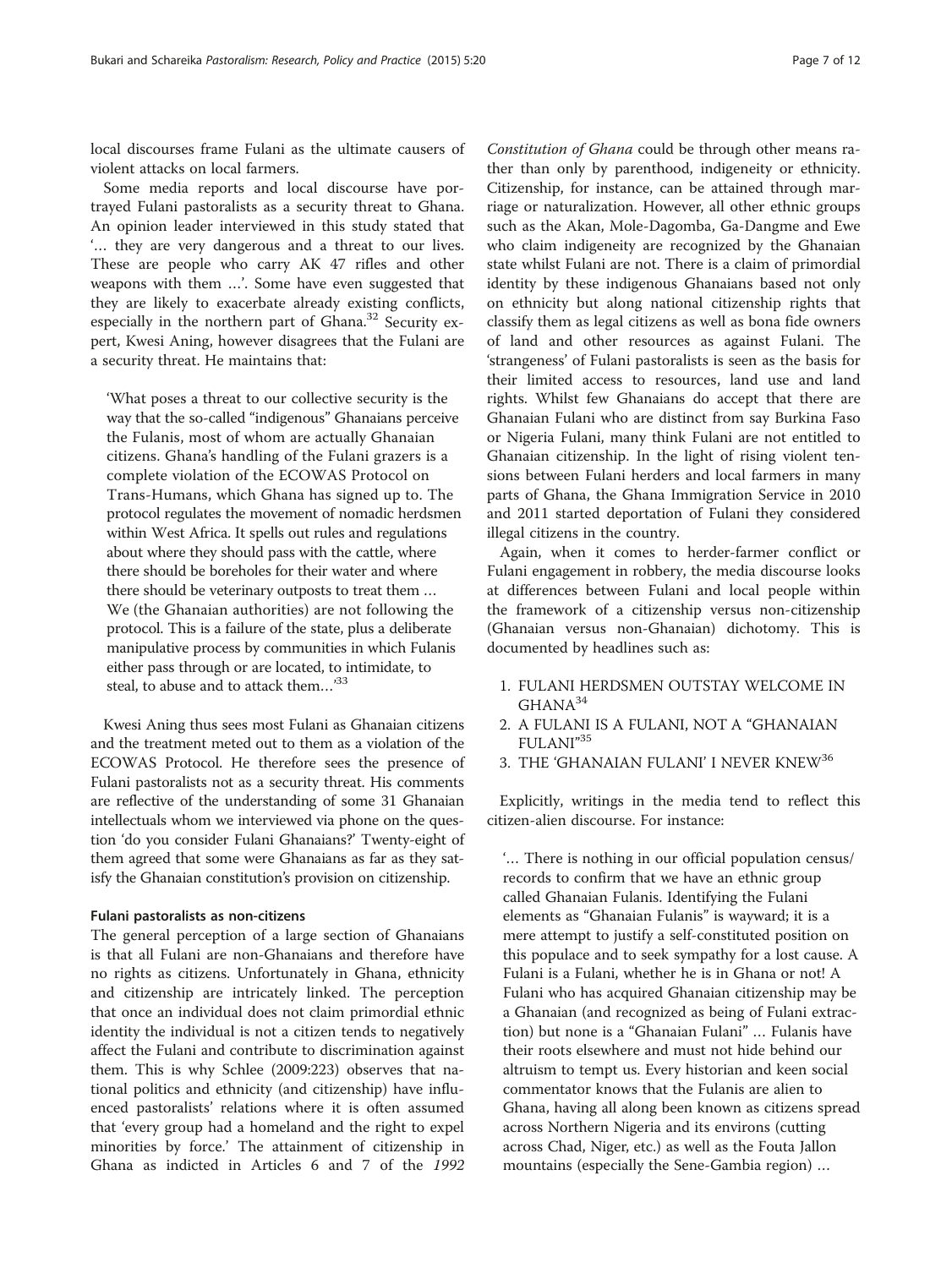local discourses frame Fulani as the ultimate causers of violent attacks on local farmers.

Some media reports and local discourse have portrayed Fulani pastoralists as a security threat to Ghana. An opinion leader interviewed in this study stated that '… they are very dangerous and a threat to our lives. These are people who carry AK 47 rifles and other weapons with them …'. Some have even suggested that they are likely to exacerbate already existing conflicts, especially in the northern part of Ghana.<sup>32</sup> Security expert, Kwesi Aning, however disagrees that the Fulani are a security threat. He maintains that:

'What poses a threat to our collective security is the way that the so-called "indigenous" Ghanaians perceive the Fulanis, most of whom are actually Ghanaian citizens. Ghana's handling of the Fulani grazers is a complete violation of the ECOWAS Protocol on Trans-Humans, which Ghana has signed up to. The protocol regulates the movement of nomadic herdsmen within West Africa. It spells out rules and regulations about where they should pass with the cattle, where there should be boreholes for their water and where there should be veterinary outposts to treat them … We (the Ghanaian authorities) are not following the protocol. This is a failure of the state, plus a deliberate manipulative process by communities in which Fulanis either pass through or are located, to intimidate, to steal, to abuse and to attack them...<sup>33</sup>

Kwesi Aning thus sees most Fulani as Ghanaian citizens and the treatment meted out to them as a violation of the ECOWAS Protocol. He therefore sees the presence of Fulani pastoralists not as a security threat. His comments are reflective of the understanding of some 31 Ghanaian intellectuals whom we interviewed via phone on the question 'do you consider Fulani Ghanaians?' Twenty-eight of them agreed that some were Ghanaians as far as they satisfy the Ghanaian constitution's provision on citizenship.

#### Fulani pastoralists as non-citizens

The general perception of a large section of Ghanaians is that all Fulani are non-Ghanaians and therefore have no rights as citizens. Unfortunately in Ghana, ethnicity and citizenship are intricately linked. The perception that once an individual does not claim primordial ethnic identity the individual is not a citizen tends to negatively affect the Fulani and contribute to discrimination against them. This is why Schlee ([2009](#page-11-0):223) observes that national politics and ethnicity (and citizenship) have influenced pastoralists' relations where it is often assumed that 'every group had a homeland and the right to expel minorities by force.' The attainment of citizenship in Ghana as indicted in Articles 6 and 7 of the 1992

Constitution of Ghana could be through other means rather than only by parenthood, indigeneity or ethnicity. Citizenship, for instance, can be attained through marriage or naturalization. However, all other ethnic groups such as the Akan, Mole-Dagomba, Ga-Dangme and Ewe who claim indigeneity are recognized by the Ghanaian state whilst Fulani are not. There is a claim of primordial identity by these indigenous Ghanaians based not only on ethnicity but along national citizenship rights that classify them as legal citizens as well as bona fide owners of land and other resources as against Fulani. The 'strangeness' of Fulani pastoralists is seen as the basis for their limited access to resources, land use and land rights. Whilst few Ghanaians do accept that there are Ghanaian Fulani who are distinct from say Burkina Faso or Nigeria Fulani, many think Fulani are not entitled to Ghanaian citizenship. In the light of rising violent tensions between Fulani herders and local farmers in many parts of Ghana, the Ghana Immigration Service in 2010 and 2011 started deportation of Fulani they considered illegal citizens in the country.

Again, when it comes to herder-farmer conflict or Fulani engagement in robbery, the media discourse looks at differences between Fulani and local people within the framework of a citizenship versus non-citizenship (Ghanaian versus non-Ghanaian) dichotomy. This is documented by headlines such as:

- 1. FULANI HERDSMEN OUTSTAY WELCOME IN  $GHANA^{34}$
- 2. A FULANI IS A FULANI, NOT A "GHANAIAN FULANI" 35
- 3. THE 'GHANAIAN FULANI' I NEVER KNEW<sup>36</sup>

Explicitly, writings in the media tend to reflect this citizen-alien discourse. For instance:

'… There is nothing in our official population census/ records to confirm that we have an ethnic group called Ghanaian Fulanis. Identifying the Fulani elements as "Ghanaian Fulanis" is wayward; it is a mere attempt to justify a self-constituted position on this populace and to seek sympathy for a lost cause. A Fulani is a Fulani, whether he is in Ghana or not! A Fulani who has acquired Ghanaian citizenship may be a Ghanaian (and recognized as being of Fulani extraction) but none is a "Ghanaian Fulani" … Fulanis have their roots elsewhere and must not hide behind our altruism to tempt us. Every historian and keen social commentator knows that the Fulanis are alien to Ghana, having all along been known as citizens spread across Northern Nigeria and its environs (cutting across Chad, Niger, etc.) as well as the Fouta Jallon mountains (especially the Sene-Gambia region) …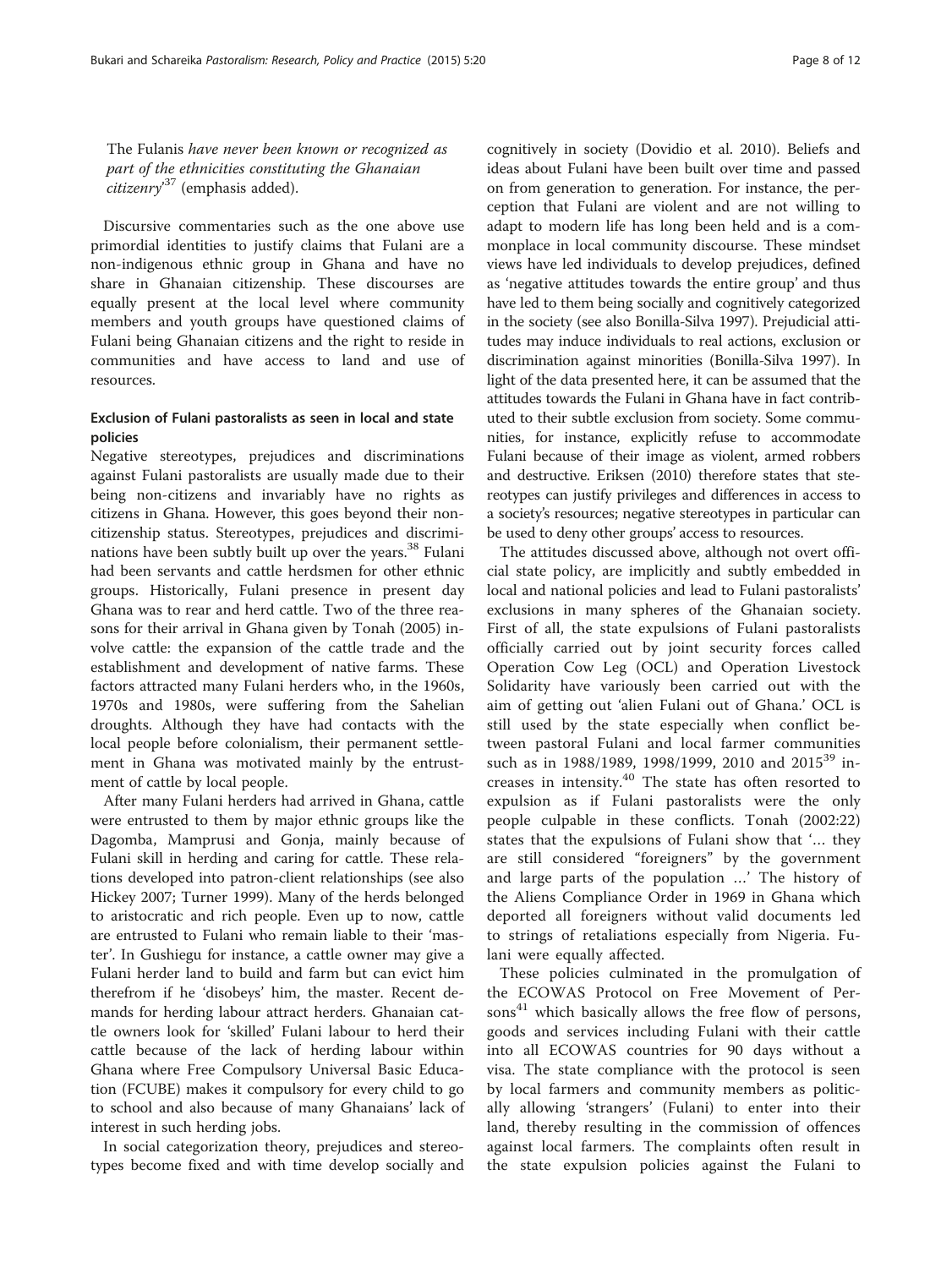The Fulanis have never been known or recognized as part of the ethnicities constituting the Ghanaian citizenry'<sup>37</sup> (emphasis added).

Discursive commentaries such as the one above use primordial identities to justify claims that Fulani are a non-indigenous ethnic group in Ghana and have no share in Ghanaian citizenship. These discourses are equally present at the local level where community members and youth groups have questioned claims of Fulani being Ghanaian citizens and the right to reside in communities and have access to land and use of resources.

### Exclusion of Fulani pastoralists as seen in local and state policies

Negative stereotypes, prejudices and discriminations against Fulani pastoralists are usually made due to their being non-citizens and invariably have no rights as citizens in Ghana. However, this goes beyond their noncitizenship status. Stereotypes, prejudices and discriminations have been subtly built up over the years.<sup>38</sup> Fulani had been servants and cattle herdsmen for other ethnic groups. Historically, Fulani presence in present day Ghana was to rear and herd cattle. Two of the three reasons for their arrival in Ghana given by Tonah [\(2005\)](#page-11-0) involve cattle: the expansion of the cattle trade and the establishment and development of native farms. These factors attracted many Fulani herders who, in the 1960s, 1970s and 1980s, were suffering from the Sahelian droughts. Although they have had contacts with the local people before colonialism, their permanent settlement in Ghana was motivated mainly by the entrustment of cattle by local people.

After many Fulani herders had arrived in Ghana, cattle were entrusted to them by major ethnic groups like the Dagomba, Mamprusi and Gonja, mainly because of Fulani skill in herding and caring for cattle. These relations developed into patron-client relationships (see also Hickey [2007;](#page-10-0) Turner [1999](#page-11-0)). Many of the herds belonged to aristocratic and rich people. Even up to now, cattle are entrusted to Fulani who remain liable to their 'master'. In Gushiegu for instance, a cattle owner may give a Fulani herder land to build and farm but can evict him therefrom if he 'disobeys' him, the master. Recent demands for herding labour attract herders. Ghanaian cattle owners look for 'skilled' Fulani labour to herd their cattle because of the lack of herding labour within Ghana where Free Compulsory Universal Basic Education (FCUBE) makes it compulsory for every child to go to school and also because of many Ghanaians' lack of interest in such herding jobs.

In social categorization theory, prejudices and stereotypes become fixed and with time develop socially and

cognitively in society (Dovidio et al. [2010\)](#page-10-0). Beliefs and ideas about Fulani have been built over time and passed on from generation to generation. For instance, the perception that Fulani are violent and are not willing to adapt to modern life has long been held and is a commonplace in local community discourse. These mindset views have led individuals to develop prejudices, defined as 'negative attitudes towards the entire group' and thus have led to them being socially and cognitively categorized in the society (see also Bonilla-Silva [1997](#page-10-0)). Prejudicial attitudes may induce individuals to real actions, exclusion or discrimination against minorities (Bonilla-Silva [1997](#page-10-0)). In light of the data presented here, it can be assumed that the attitudes towards the Fulani in Ghana have in fact contributed to their subtle exclusion from society. Some communities, for instance, explicitly refuse to accommodate Fulani because of their image as violent, armed robbers and destructive. Eriksen ([2010\)](#page-10-0) therefore states that stereotypes can justify privileges and differences in access to a society's resources; negative stereotypes in particular can be used to deny other groups' access to resources.

The attitudes discussed above, although not overt official state policy, are implicitly and subtly embedded in local and national policies and lead to Fulani pastoralists' exclusions in many spheres of the Ghanaian society. First of all, the state expulsions of Fulani pastoralists officially carried out by joint security forces called Operation Cow Leg (OCL) and Operation Livestock Solidarity have variously been carried out with the aim of getting out 'alien Fulani out of Ghana.' OCL is still used by the state especially when conflict between pastoral Fulani and local farmer communities such as in 1988/1989, 1998/1999, 2010 and 2015<sup>39</sup> increases in intensity.<sup>40</sup> The state has often resorted to expulsion as if Fulani pastoralists were the only people culpable in these conflicts. Tonah ([2002](#page-11-0):22) states that the expulsions of Fulani show that '… they are still considered "foreigners" by the government and large parts of the population …' The history of the Aliens Compliance Order in 1969 in Ghana which deported all foreigners without valid documents led to strings of retaliations especially from Nigeria. Fulani were equally affected.

These policies culminated in the promulgation of the ECOWAS Protocol on Free Movement of Persons<sup>41</sup> which basically allows the free flow of persons, goods and services including Fulani with their cattle into all ECOWAS countries for 90 days without a visa. The state compliance with the protocol is seen by local farmers and community members as politically allowing 'strangers' (Fulani) to enter into their land, thereby resulting in the commission of offences against local farmers. The complaints often result in the state expulsion policies against the Fulani to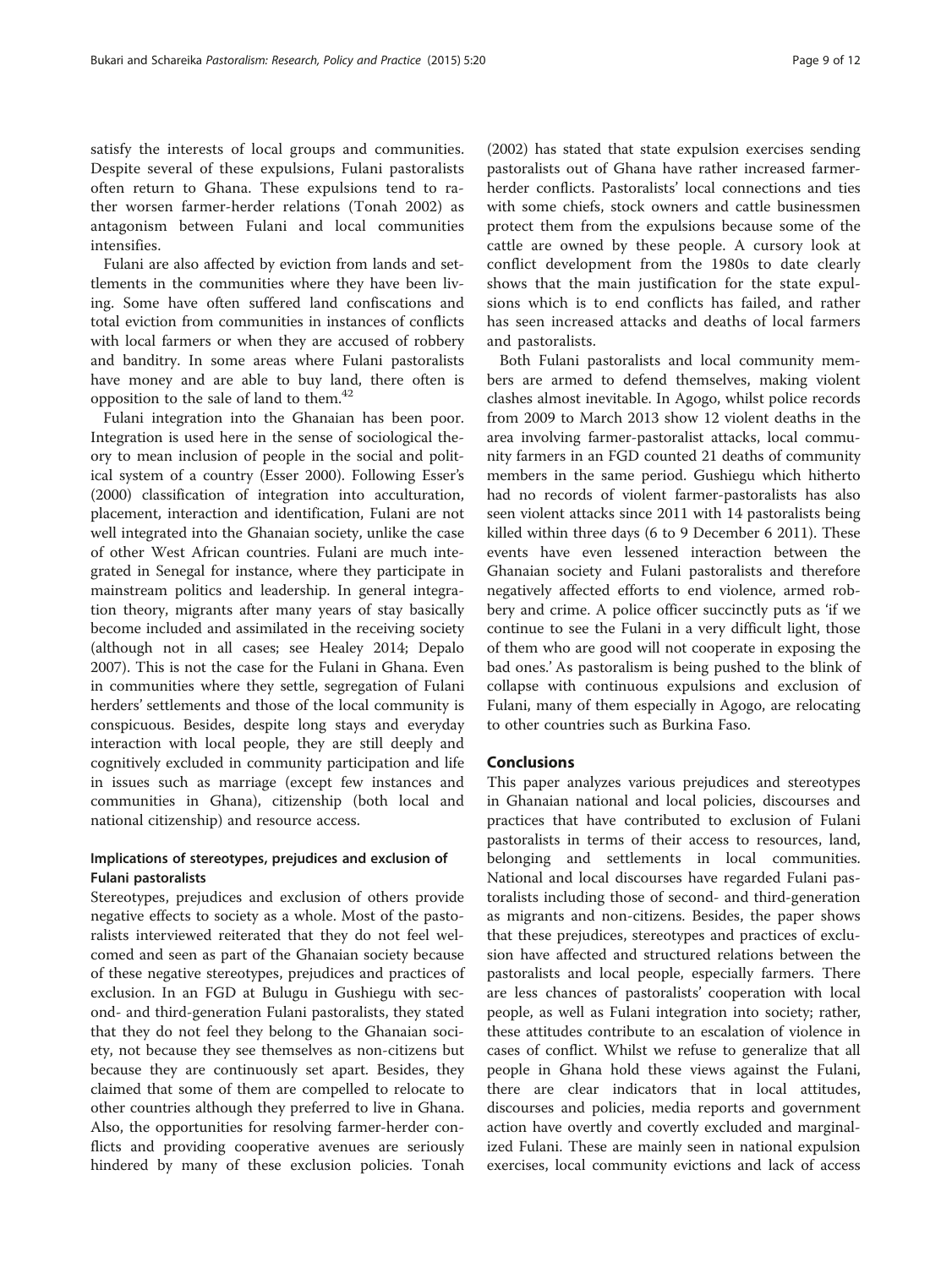satisfy the interests of local groups and communities. Despite several of these expulsions, Fulani pastoralists often return to Ghana. These expulsions tend to rather worsen farmer-herder relations (Tonah [2002\)](#page-11-0) as antagonism between Fulani and local communities intensifies.

Fulani are also affected by eviction from lands and settlements in the communities where they have been living. Some have often suffered land confiscations and total eviction from communities in instances of conflicts with local farmers or when they are accused of robbery and banditry. In some areas where Fulani pastoralists have money and are able to buy land, there often is opposition to the sale of land to them. $42$ 

Fulani integration into the Ghanaian has been poor. Integration is used here in the sense of sociological theory to mean inclusion of people in the social and political system of a country (Esser [2000\)](#page-10-0). Following Esser's ([2000](#page-10-0)) classification of integration into acculturation, placement, interaction and identification, Fulani are not well integrated into the Ghanaian society, unlike the case of other West African countries. Fulani are much integrated in Senegal for instance, where they participate in mainstream politics and leadership. In general integration theory, migrants after many years of stay basically become included and assimilated in the receiving society (although not in all cases; see Healey [2014](#page-10-0); Depalo [2007](#page-10-0)). This is not the case for the Fulani in Ghana. Even in communities where they settle, segregation of Fulani herders' settlements and those of the local community is conspicuous. Besides, despite long stays and everyday interaction with local people, they are still deeply and cognitively excluded in community participation and life in issues such as marriage (except few instances and communities in Ghana), citizenship (both local and national citizenship) and resource access.

# Implications of stereotypes, prejudices and exclusion of Fulani pastoralists

Stereotypes, prejudices and exclusion of others provide negative effects to society as a whole. Most of the pastoralists interviewed reiterated that they do not feel welcomed and seen as part of the Ghanaian society because of these negative stereotypes, prejudices and practices of exclusion. In an FGD at Bulugu in Gushiegu with second- and third-generation Fulani pastoralists, they stated that they do not feel they belong to the Ghanaian society, not because they see themselves as non-citizens but because they are continuously set apart. Besides, they claimed that some of them are compelled to relocate to other countries although they preferred to live in Ghana. Also, the opportunities for resolving farmer-herder conflicts and providing cooperative avenues are seriously hindered by many of these exclusion policies. Tonah

([2002\)](#page-11-0) has stated that state expulsion exercises sending pastoralists out of Ghana have rather increased farmerherder conflicts. Pastoralists' local connections and ties with some chiefs, stock owners and cattle businessmen protect them from the expulsions because some of the cattle are owned by these people. A cursory look at conflict development from the 1980s to date clearly shows that the main justification for the state expulsions which is to end conflicts has failed, and rather has seen increased attacks and deaths of local farmers and pastoralists.

Both Fulani pastoralists and local community members are armed to defend themselves, making violent clashes almost inevitable. In Agogo, whilst police records from 2009 to March 2013 show 12 violent deaths in the area involving farmer-pastoralist attacks, local community farmers in an FGD counted 21 deaths of community members in the same period. Gushiegu which hitherto had no records of violent farmer-pastoralists has also seen violent attacks since 2011 with 14 pastoralists being killed within three days (6 to 9 December 6 2011). These events have even lessened interaction between the Ghanaian society and Fulani pastoralists and therefore negatively affected efforts to end violence, armed robbery and crime. A police officer succinctly puts as 'if we continue to see the Fulani in a very difficult light, those of them who are good will not cooperate in exposing the bad ones.' As pastoralism is being pushed to the blink of collapse with continuous expulsions and exclusion of Fulani, many of them especially in Agogo, are relocating to other countries such as Burkina Faso.

# Conclusions

This paper analyzes various prejudices and stereotypes in Ghanaian national and local policies, discourses and practices that have contributed to exclusion of Fulani pastoralists in terms of their access to resources, land, belonging and settlements in local communities. National and local discourses have regarded Fulani pastoralists including those of second- and third-generation as migrants and non-citizens. Besides, the paper shows that these prejudices, stereotypes and practices of exclusion have affected and structured relations between the pastoralists and local people, especially farmers. There are less chances of pastoralists' cooperation with local people, as well as Fulani integration into society; rather, these attitudes contribute to an escalation of violence in cases of conflict. Whilst we refuse to generalize that all people in Ghana hold these views against the Fulani, there are clear indicators that in local attitudes, discourses and policies, media reports and government action have overtly and covertly excluded and marginalized Fulani. These are mainly seen in national expulsion exercises, local community evictions and lack of access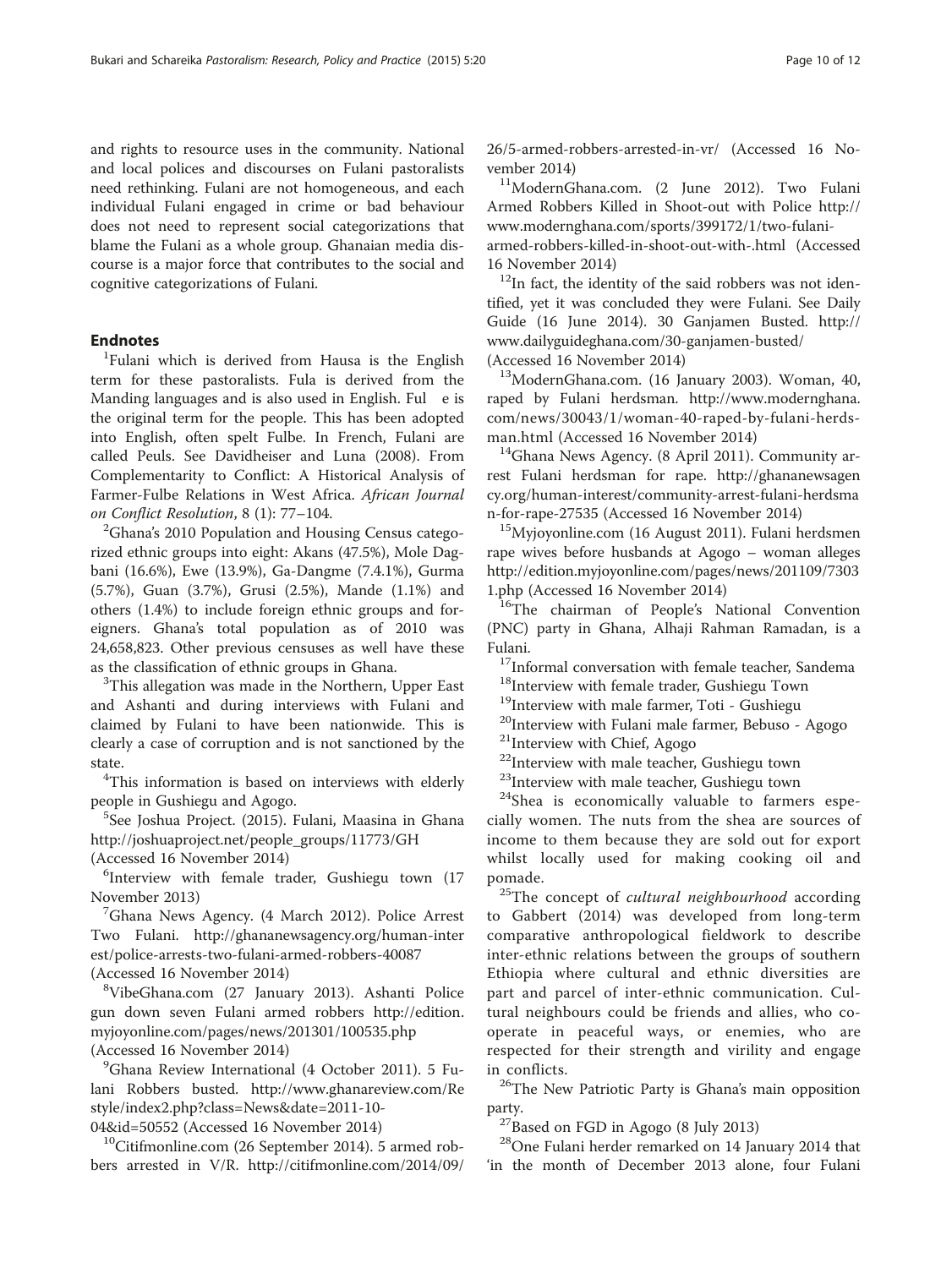and rights to resource uses in the community. National and local polices and discourses on Fulani pastoralists need rethinking. Fulani are not homogeneous, and each individual Fulani engaged in crime or bad behaviour does not need to represent social categorizations that blame the Fulani as a whole group. Ghanaian media discourse is a major force that contributes to the social and cognitive categorizations of Fulani.

#### **Endnotes**

<sup>1</sup>Fulani which is derived from Hausa is the English term for these pastoralists. Fula is derived from the Manding languages and is also used in English. Ful e is the original term for the people. This has been adopted into English, often spelt Fulbe. In French, Fulani are called Peuls. See Davidheiser and Luna (2008). From Complementarity to Conflict: A Historical Analysis of Farmer-Fulbe Relations in West Africa. African Journal on Conflict Resolution, 8 (1): 77-104.

 $^{2}$ Ghana's 2010 Population and Housing Census categorized ethnic groups into eight: Akans (47.5%), Mole Dagbani (16.6%), Ewe (13.9%), Ga-Dangme (7.4.1%), Gurma (5.7%), Guan (3.7%), Grusi (2.5%), Mande (1.1%) and others (1.4%) to include foreign ethnic groups and foreigners. Ghana's total population as of 2010 was 24,658,823. Other previous censuses as well have these as the classification of ethnic groups in Ghana.

<sup>3</sup>This allegation was made in the Northern, Upper East and Ashanti and during interviews with Fulani and claimed by Fulani to have been nationwide. This is clearly a case of corruption and is not sanctioned by the state.

<sup>4</sup>This information is based on interviews with elderly people in Gushiegu and Agogo.

<sup>5</sup>See Joshua Project. (2015). Fulani, Maasina in Ghana [http://joshuaproject.net/people\\_groups/11773/GH](http://joshuaproject.net/people_groups/11773/GH) (Accessed 16 November 2014)

 ${}^{6}$ Interview with female trader, Gushiegu town (17) November 2013)

 $7$ Ghana News Agency. (4 March 2012). Police Arrest Two Fulani. [http://ghananewsagency.org/human-inter](http://ghananewsagency.org/human-interest/police-arrests-two-fulani-armed-robbers-40087) [est/police-arrests-two-fulani-armed-robbers-40087](http://ghananewsagency.org/human-interest/police-arrests-two-fulani-armed-robbers-40087) (Accessed 16 November 2014)

VibeGhana.com (27 January 2013). Ashanti Police gun down seven Fulani armed robbers [http://edition.](http://edition.myjoyonline.com/pages/news/201301/100535.php) [myjoyonline.com/pages/news/201301/100535.php](http://edition.myjoyonline.com/pages/news/201301/100535.php) (Accessed 16 November 2014)

Ghana Review International (4 October 2011). 5 Fulani Robbers busted. [http://www.ghanareview.com/Re](http://www.ghanareview.com/Restyle/index2.php?class=News&date=2011-10-04&id=50552) [style/index2.php?class=News&date=2011-10-](http://www.ghanareview.com/Restyle/index2.php?class=News&date=2011-10-04&id=50552)

[04&id=50552](http://www.ghanareview.com/Restyle/index2.php?class=News&date=2011-10-04&id=50552) (Accessed 16 November 2014)<br><sup>10</sup>Citifmonline.com (26 September 2014). 5 armed robbers arrested in V/R. [http://citifmonline.com/2014/09/](http://citifmonline.com/2014/09/26/5-armed-robbers-arrested-in-vr/)

[26/5-armed-robbers-arrested-in-vr/](http://citifmonline.com/2014/09/26/5-armed-robbers-arrested-in-vr/) (Accessed 16 November 2014)<br><sup>11</sup>ModernGhana.com. (2 June 2012). Two Fulani

Armed Robbers Killed in Shoot-out with Police [http://](http://www.modernghana.com/sports/399172/1/two-fulani-armed-robbers-killed-in-shoot-out-with-.html) [www.modernghana.com/sports/399172/1/two-fulani-](http://www.modernghana.com/sports/399172/1/two-fulani-armed-robbers-killed-in-shoot-out-with-.html)

[armed-robbers-killed-in-shoot-out-with-.html](http://www.modernghana.com/sports/399172/1/two-fulani-armed-robbers-killed-in-shoot-out-with-.html) (Accessed 16 November 2014)<br> $12$ In fact, the identity of the said robbers was not iden-

tified, yet it was concluded they were Fulani. See Daily Guide (16 June 2014). 30 Ganjamen Busted. [http://](http://www.dailyguideghana.com/30-ganjamen-busted/) [www.dailyguideghana.com/30-ganjamen-busted/](http://www.dailyguideghana.com/30-ganjamen-busted/)

(Accessed 16 November 2014) 13ModernGhana.com. (16 January 2003). Woman, 40, raped by Fulani herdsman. [http://www.modernghana.](http://www.modernghana.com/news/30043/1/woman-40-raped-by-fulani-herdsman.html) [com/news/30043/1/woman-40-raped-by-fulani-herds](http://www.modernghana.com/news/30043/1/woman-40-raped-by-fulani-herdsman.html)[man.html](http://www.modernghana.com/news/30043/1/woman-40-raped-by-fulani-herdsman.html) (Accessed 16 November 2014)<br><sup>14</sup>Ghana News Agency. (8 April 2011). Community ar-

rest Fulani herdsman for rape. [http://ghananewsagen](http://ghananewsagency.org/human-interest/community-arrest-fulani-herdsman-for-rape-27535) [cy.org/human-interest/community-arrest-fulani-herdsma](http://ghananewsagency.org/human-interest/community-arrest-fulani-herdsman-for-rape-27535) [n-for-rape-27535](http://ghananewsagency.org/human-interest/community-arrest-fulani-herdsman-for-rape-27535) (Accessed 16 November 2014) 15Myjoyonline.com (16 August 2011). Fulani herdsmen

rape wives before husbands at Agogo – woman alleges [http://edition.myjoyonline.com/pages/news/201109/7303](http://edition.myjoyonline.com/pages/news/201109/73031.php)

[1.php](http://edition.myjoyonline.com/pages/news/201109/73031.php) (Accessed 16 November 2014)<br><sup>16</sup>The chairman of People's National Convention (PNC) party in Ghana, Alhaji Rahman Ramadan, is a Fulani.<br> $17$ Informal conversation with female teacher, Sandema

<sup>18</sup>Interview with female trader, Gushiegu Town <sup>19</sup>Interview with male farmer, Toti - Gushiegu

<sup>20</sup>Interview with Fulani male farmer, Bebuso - Agogo

<sup>21</sup>Interview with Chief, Agogo

<sup>22</sup>Interview with male teacher, Gushiegu town

<sup>23</sup>Interview with male teacher, Gushiegu town

<sup>24</sup>Shea is economically valuable to farmers especially women. The nuts from the shea are sources of income to them because they are sold out for export whilst locally used for making cooking oil and pomade.<br><sup>25</sup>The concept of *cultural neighbourhood* according

to Gabbert (2014) was developed from long-term comparative anthropological fieldwork to describe inter-ethnic relations between the groups of southern Ethiopia where cultural and ethnic diversities are part and parcel of inter-ethnic communication. Cultural neighbours could be friends and allies, who cooperate in peaceful ways, or enemies, who are respected for their strength and virility and engage in conflicts.<br> $10^{26}$ The New Patriotic Party is Ghana's main opposition

party.<br> $27B$ ased on FGD in Agogo (8 July 2013)

28One Fulani herder remarked on 14 January 2014 that 'in the month of December 2013 alone, four Fulani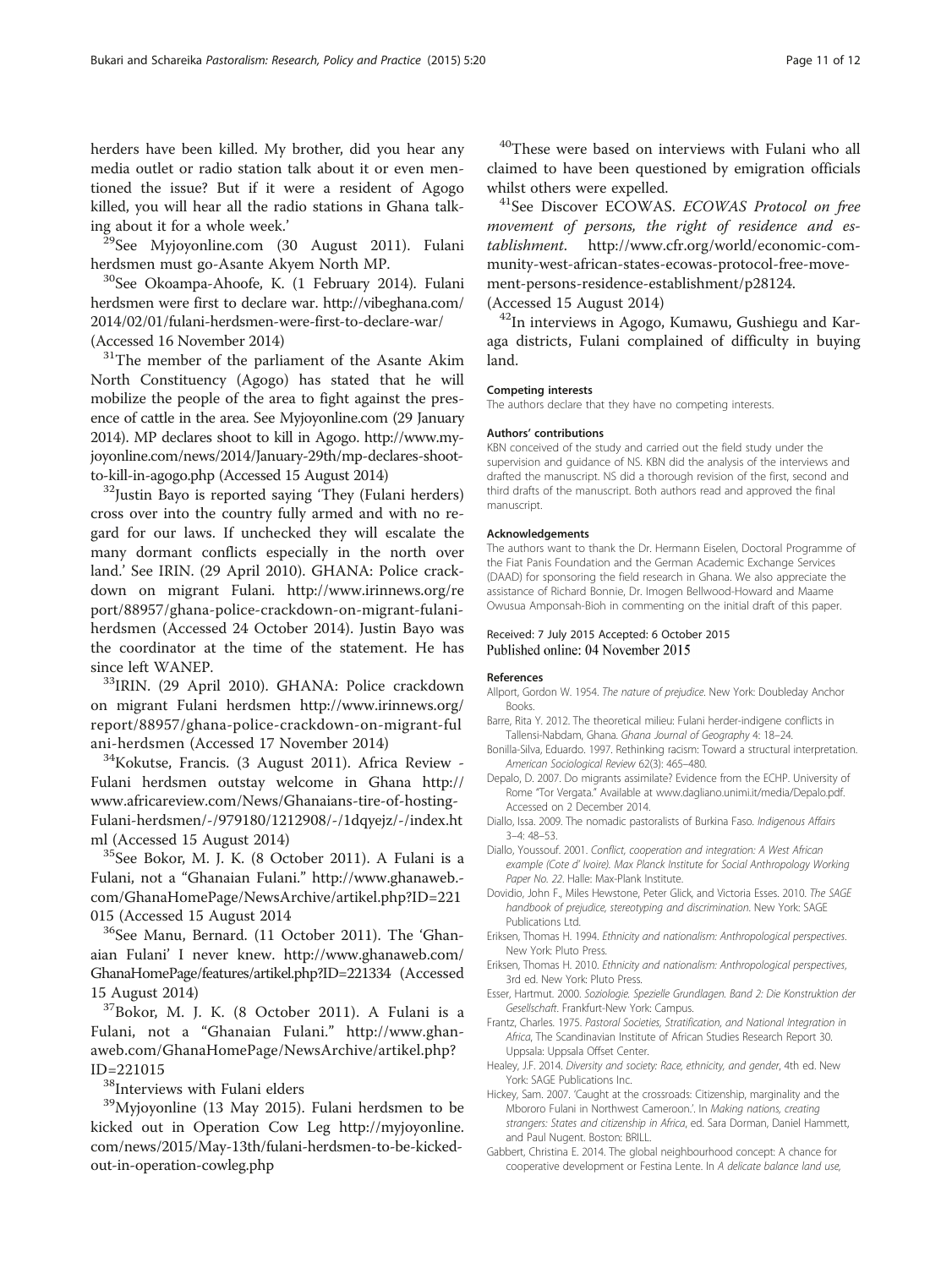<span id="page-10-0"></span>herders have been killed. My brother, did you hear any media outlet or radio station talk about it or even mentioned the issue? But if it were a resident of Agogo killed, you will hear all the radio stations in Ghana talking about it for a whole week.'<br><sup>29</sup>See Myjoyonline.com (30 August 2011). Fulani

herdsmen must go-Asante Akyem North MP.<br><sup>30</sup>See Okoampa-Ahoofe, K. (1 February 2014). Fulani

herdsmen were first to declare war. [http://vibeghana.com/](http://vibeghana.com/2014/02/01/fulani-herdsmen-were-first-to-declare-war/) [2014/02/01/fulani-herdsmen-were-first-to-declare-war/](http://vibeghana.com/2014/02/01/fulani-herdsmen-were-first-to-declare-war/)

(Accessed 16 November 2014)<br> $31$ The member of the parliament of the Asante Akim North Constituency (Agogo) has stated that he will mobilize the people of the area to fight against the presence of cattle in the area. See Myjoyonline.com (29 January 2014). MP declares shoot to kill in Agogo. [http://www.my](http://www.myjoyonline.com/news/2014/January-29th/mp-declares-shoot-to-kill-in-agogo.php)[joyonline.com/news/2014/January-29th/mp-declares-shoot](http://www.myjoyonline.com/news/2014/January-29th/mp-declares-shoot-to-kill-in-agogo.php)[to-kill-in-agogo.php](http://www.myjoyonline.com/news/2014/January-29th/mp-declares-shoot-to-kill-in-agogo.php) (Accessed 15 August 2014)<br><sup>32</sup>Justin Bayo is reported saying 'They (Fulani herders)

cross over into the country fully armed and with no regard for our laws. If unchecked they will escalate the many dormant conflicts especially in the north over land.' See IRIN. (29 April 2010). GHANA: Police crackdown on migrant Fulani. [http://www.irinnews.org/re](http://www.irinnews.org/report/88957/ghana-police-crackdown-on-migrant-fulani-herdsmen) [port/88957/ghana-police-crackdown-on-migrant-fulani](http://www.irinnews.org/report/88957/ghana-police-crackdown-on-migrant-fulani-herdsmen)[herdsmen](http://www.irinnews.org/report/88957/ghana-police-crackdown-on-migrant-fulani-herdsmen) (Accessed 24 October 2014). Justin Bayo was the coordinator at the time of the statement. He has since left WANEP.<br><sup>33</sup>IRIN. (29 April 2010). GHANA: Police crackdown

on migrant Fulani herdsmen [http://www.irinnews.org/](http://www.irinnews.org/report/88957/ghana-police-crackdown-on-migrant-fulani-herdsmen) [report/88957/ghana-police-crackdown-on-migrant-ful](http://www.irinnews.org/report/88957/ghana-police-crackdown-on-migrant-fulani-herdsmen) [ani-herdsmen](http://www.irinnews.org/report/88957/ghana-police-crackdown-on-migrant-fulani-herdsmen) (Accessed 17 November 2014) 34Kokutse, Francis. (3 August 2011). Africa Review -

Fulani herdsmen outstay welcome in Ghana [http://](http://www.africareview.com/News/Ghanaians-tire-of-hosting-Fulani-herdsmen/-/979180/1212908/-/1dqyejz/-/index.html) [www.africareview.com/News/Ghanaians-tire-of-hosting-](http://www.africareview.com/News/Ghanaians-tire-of-hosting-Fulani-herdsmen/-/979180/1212908/-/1dqyejz/-/index.html)[Fulani-herdsmen/-/979180/1212908/-/1dqyejz/-/index.ht](http://www.africareview.com/News/Ghanaians-tire-of-hosting-Fulani-herdsmen/-/979180/1212908/-/1dqyejz/-/index.html) [ml](http://www.africareview.com/News/Ghanaians-tire-of-hosting-Fulani-herdsmen/-/979180/1212908/-/1dqyejz/-/index.html) (Accessed 15 August 2014)<br><sup>35</sup>See Bokor, M. J. K. (8 October 2011). A Fulani is a

Fulani, not a "Ghanaian Fulani." [http://www.ghanaweb.](http://www.ghanaweb.com/GhanaHomePage/NewsArchive/artikel.php?ID=221015) [com/GhanaHomePage/NewsArchive/artikel.php?ID=221](http://www.ghanaweb.com/GhanaHomePage/NewsArchive/artikel.php?ID=221015) [015](http://www.ghanaweb.com/GhanaHomePage/NewsArchive/artikel.php?ID=221015) (Accessed 15 August 2014  $36$ See Manu, Bernard. (11 October 2011). The 'Ghan-

aian Fulani' I never knew. [http://www.ghanaweb.com/](http://www.ghanaweb.com/GhanaHomePage/features/artikel.php?ID=221334) [GhanaHomePage/features/artikel.php?ID=221334](http://www.ghanaweb.com/GhanaHomePage/features/artikel.php?ID=221334) (Accessed 15 August 2014) 37Bokor, M. J. K. (8 October 2011). A Fulani is a

Fulani, not a "Ghanaian Fulani." [http://www.ghan](http://www.ghanaweb.com/GhanaHomePage/NewsArchive/artikel.php?ID=221015)[aweb.com/GhanaHomePage/NewsArchive/artikel.php?](http://www.ghanaweb.com/GhanaHomePage/NewsArchive/artikel.php?ID=221015) [ID=221015](http://www.ghanaweb.com/GhanaHomePage/NewsArchive/artikel.php?ID=221015)<br> $38$ Interviews with Fulani elders

39Myjoyonline (13 May 2015). Fulani herdsmen to be kicked out in Operation Cow Leg [http://myjoyonline.](http://myjoyonline.com/news/2015/May-13th/fulani-herdsmen-to-be-kicked-out-in-operation-cowleg.php) [com/news/2015/May-13th/fulani-herdsmen-to-be-kicked](http://myjoyonline.com/news/2015/May-13th/fulani-herdsmen-to-be-kicked-out-in-operation-cowleg.php)[out-in-operation-cowleg.php](http://myjoyonline.com/news/2015/May-13th/fulani-herdsmen-to-be-kicked-out-in-operation-cowleg.php)

<sup>40</sup>These were based on interviews with Fulani who all claimed to have been questioned by emigration officials whilst others were expelled.<br><sup>41</sup>See Discover ECOWAS. *ECOWAS Protocol on free* 

movement of persons, the right of residence and establishment. [http://www.cfr.org/world/economic-com](http://www.cfr.org/world/economic-community-west-african-states-ecowas-protocol-free-movement-persons-residence-establishment/p28124)[munity-west-african-states-ecowas-protocol-free-move](http://www.cfr.org/world/economic-community-west-african-states-ecowas-protocol-free-movement-persons-residence-establishment/p28124)[ment-persons-residence-establishment/p28124.](http://www.cfr.org/world/economic-community-west-african-states-ecowas-protocol-free-movement-persons-residence-establishment/p28124)

(Accessed 15 August 2014)<br> $42$ In interviews in Agogo, Kumawu, Gushiegu and Karaga districts, Fulani complained of difficulty in buying land.

#### Competing interests

The authors declare that they have no competing interests.

#### Authors' contributions

KBN conceived of the study and carried out the field study under the supervision and guidance of NS. KBN did the analysis of the interviews and drafted the manuscript. NS did a thorough revision of the first, second and third drafts of the manuscript. Both authors read and approved the final manuscript.

#### Acknowledgements

The authors want to thank the Dr. Hermann Eiselen, Doctoral Programme of the Fiat Panis Foundation and the German Academic Exchange Services (DAAD) for sponsoring the field research in Ghana. We also appreciate the assistance of Richard Bonnie, Dr. Imogen Bellwood-Howard and Maame Owusua Amponsah-Bioh in commenting on the initial draft of this paper.

#### Received: 7 July 2015 Accepted: 6 October 2015 Published online: 04 November 2015

#### References

- Allport, Gordon W. 1954. The nature of prejudice. New York: Doubleday Anchor Books.
- Barre, Rita Y. 2012. The theoretical milieu: Fulani herder-indigene conflicts in Tallensi-Nabdam, Ghana. Ghana Journal of Geography 4: 18–24.
- Bonilla-Silva, Eduardo. 1997. Rethinking racism: Toward a structural interpretation. American Sociological Review 62(3): 465–480.
- Depalo, D. 2007. Do migrants assimilate? Evidence from the ECHP. University of Rome "Tor Vergata." Available at [www.dagliano.unimi.it/media/Depalo.pdf.](http://www.dagliano.unimi.it/media/Depalo.pdf) Accessed on 2 December 2014.
- Diallo, Issa. 2009. The nomadic pastoralists of Burkina Faso. Indigenous Affairs 3–4: 48–53.
- Diallo, Youssouf. 2001. Conflict, cooperation and integration: A West African example (Cote d' Ivoire). Max Planck Institute for Social Anthropology Working Paper No. 22. Halle: Max-Plank Institute.

Dovidio, John F., Miles Hewstone, Peter Glick, and Victoria Esses. 2010. The SAGE handbook of prejudice, stereotyping and discrimination. New York: SAGE Publications Ltd.

- Eriksen, Thomas H. 1994. Ethnicity and nationalism: Anthropological perspectives. New York: Pluto Press.
- Eriksen, Thomas H. 2010. Ethnicity and nationalism: Anthropological perspectives, 3rd ed. New York: Pluto Press.
- Esser, Hartmut. 2000. Soziologie. Spezielle Grundlagen. Band 2: Die Konstruktion der Gesellschaft. Frankfurt-New York: Campus.
- Frantz, Charles. 1975. Pastoral Societies, Stratification, and National Integration in Africa, The Scandinavian Institute of African Studies Research Report 30. Uppsala: Uppsala Offset Center.
- Healey, J.F. 2014. Diversity and society: Race, ethnicity, and gender, 4th ed. New York: SAGE Publications Inc.
- Hickey, Sam. 2007. 'Caught at the crossroads: Citizenship, marginality and the Mbororo Fulani in Northwest Cameroon.'. In Making nations, creating strangers: States and citizenship in Africa, ed. Sara Dorman, Daniel Hammett, and Paul Nugent. Boston: BRILL.
- Gabbert, Christina E. 2014. The global neighbourhood concept: A chance for cooperative development or Festina Lente. In A delicate balance land use,